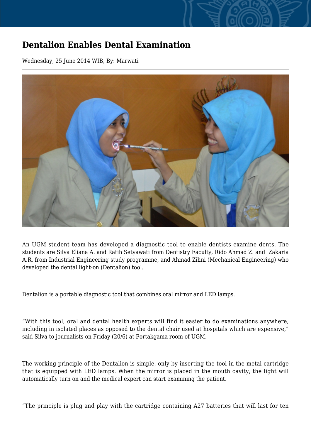## **Dentalion Enables Dental Examination**

Wednesday, 25 June 2014 WIB, By: Marwati



An UGM student team has developed a diagnostic tool to enable dentists examine dents. The students are Silva Eliana A. and Ratih Setyawati from Dentistry Faculty, Rido Ahmad Z. and Zakaria A.R. from Industrial Engineering study programme, and Ahmad Zihni (Mechanical Engineering) who developed the dental light-on (Dentalion) tool.

Dentalion is a portable diagnostic tool that combines oral mirror and LED lamps.

"With this tool, oral and dental health experts will find it easier to do examinations anywhere, including in isolated places as opposed to the dental chair used at hospitals which are expensive," said Silva to journalists on Friday (20/6) at Fortakgama room of UGM.

The working principle of the Dentalion is simple, only by inserting the tool in the metal cartridge that is equipped with LED lamps. When the mirror is placed in the mouth cavity, the light will automatically turn on and the medical expert can start examining the patient.

"The principle is plug and play with the cartridge containing A27 batteries that will last for ten